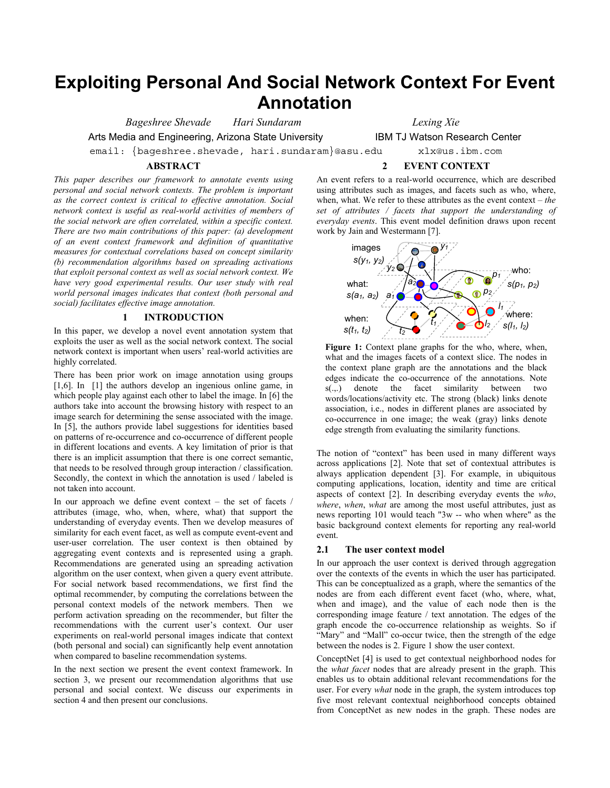# **Exploiting Personal And Social Network Context For Event Annotation**

*Bageshree Shevade Hari Sundaram Lexing Xie* 

Arts Media and Engineering, Arizona State University **IBM TJ Watson Research Center** 

email: {bageshree.shevade, hari.sundaram}@asu.edu xlx@us.ibm.com

# **ABSTRACT**

**2 EVENT CONTEXT** 

*This paper describes our framework to annotate events using personal and social network contexts. The problem is important as the correct context is critical to effective annotation. Social network context is useful as real-world activities of members of the social network are often correlated, within a specific context. There are two main contributions of this paper: (a) development of an event context framework and definition of quantitative measures for contextual correlations based on concept similarity (b) recommendation algorithms based on spreading activations that exploit personal context as well as social network context. We have very good experimental results. Our user study with real world personal images indicates that context (both personal and social) facilitates effective image annotation.* 

# **1 INTRODUCTION**

In this paper, we develop a novel event annotation system that exploits the user as well as the social network context. The social network context is important when users' real-world activities are highly correlated.

There has been prior work on image annotation using groups [1,6]. In [1] the authors develop an ingenious online game, in which people play against each other to label the image. In [6] the authors take into account the browsing history with respect to an image search for determining the sense associated with the image. In [5], the authors provide label suggestions for identities based on patterns of re-occurrence and co-occurrence of different people in different locations and events. A key limitation of prior is that there is an implicit assumption that there is one correct semantic, that needs to be resolved through group interaction / classification. Secondly, the context in which the annotation is used / labeled is not taken into account.

In our approach we define event context – the set of facets / attributes (image, who, when, where, what) that support the understanding of everyday events. Then we develop measures of similarity for each event facet, as well as compute event-event and user-user correlation. The user context is then obtained by aggregating event contexts and is represented using a graph. Recommendations are generated using an spreading activation algorithm on the user context, when given a query event attribute. For social network based recommendations, we first find the optimal recommender, by computing the correlations between the personal context models of the network members. Then we perform activation spreading on the recommender, but filter the recommendations with the current user's context. Our user experiments on real-world personal images indicate that context (both personal and social) can significantly help event annotation when compared to baseline recommendation systems.

In the next section we present the event context framework. In section 3, we present our recommendation algorithms that use personal and social context. We discuss our experiments in section 4 and then present our conclusions.

An event refers to a real-world occurrence, which are described using attributes such as images, and facets such as who, where, when, what. We refer to these attributes as the event context – *the set of attributes / facets that support the understanding of everyday events*. This event model definition draws upon recent work by Jain and Westermann [7].



Figure 1: Context plane graphs for the who, where, when, what and the images facets of a context slice. The nodes in the context plane graph are the annotations and the black edges indicate the co-occurrence of the annotations. Note s(.,.) denote the facet similarity between two words/locations/activity etc. The strong (black) links denote association, i.e., nodes in different planes are associated by co-occurrence in one image; the weak (gray) links denote edge strength from evaluating the similarity functions.

The notion of "context" has been used in many different ways across applications [2]. Note that set of contextual attributes is always application dependent [3]. For example, in ubiquitous computing applications, location, identity and time are critical aspects of context [2]. In describing everyday events the *who*, *where*, *when*, *what* are among the most useful attributes, just as news reporting 101 would teach "3w -- who when where" as the basic background context elements for reporting any real-world event.

# **2.1 The user context model**

In our approach the user context is derived through aggregation over the contexts of the events in which the user has participated. This can be conceptualized as a graph, where the semantics of the nodes are from each different event facet (who, where, what, when and image), and the value of each node then is the corresponding image feature / text annotation. The edges of the graph encode the co-occurrence relationship as weights. So if "Mary" and "Mall" co-occur twice, then the strength of the edge between the nodes is 2. Figure 1 show the user context.

ConceptNet [4] is used to get contextual neighborhood nodes for the *what facet* nodes that are already present in the graph. This enables us to obtain additional relevant recommendations for the user. For every *what* node in the graph, the system introduces top five most relevant contextual neighborhood concepts obtained from ConceptNet as new nodes in the graph. These nodes are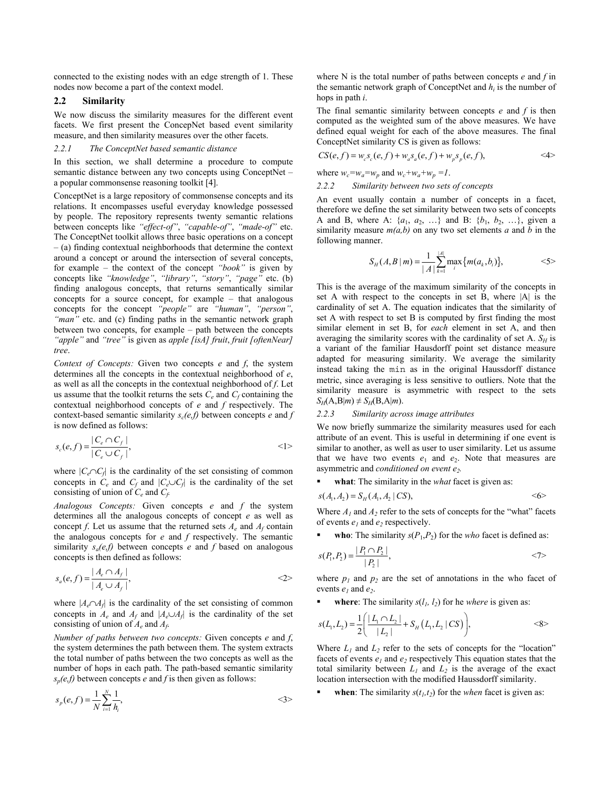connected to the existing nodes with an edge strength of 1. These nodes now become a part of the context model.

## **2.2 Similarity**

We now discuss the similarity measures for the different event facets. We first present the ConcepNet based event similarity measure, and then similarity measures over the other facets.

## *2.2.1 The ConceptNet based semantic distance*

In this section, we shall determine a procedure to compute semantic distance between any two concepts using ConceptNet – a popular commonsense reasoning toolkit [4].

ConceptNet is a large repository of commonsense concepts and its relations. It encompasses useful everyday knowledge possessed by people. The repository represents twenty semantic relations between concepts like *"effect-of"*, *"capable-of"*, *"made-of"* etc. The ConceptNet toolkit allows three basic operations on a concept – (a) finding contextual neighborhoods that determine the context around a concept or around the intersection of several concepts, for example – the context of the concept *"book"* is given by concepts like *"knowledge"*, *"library"*, *"story"*, *"page"* etc. (b) finding analogous concepts, that returns semantically similar concepts for a source concept, for example – that analogous concepts for the concept *"people"* are *"human"*, *"person"*, *"man"* etc. and (c) finding paths in the semantic network graph between two concepts, for example – path between the concepts *"apple"* and *"tree"* is given as *apple [isA] fruit*, *fruit [oftenNear] tree*.

*Context of Concepts:* Given two concepts *e* and *f*, the system determines all the concepts in the contextual neighborhood of *e*, as well as all the concepts in the contextual neighborhood of *f*. Let us assume that the toolkit returns the sets  $C_e$  and  $C_f$  containing the contextual neighborhood concepts of *e* and *f* respectively. The context-based semantic similarity  $s_c(e,f)$  between concepts *e* and *f* is now defined as follows:

$$
S_c(e,f) = \frac{|C_e \cap C_f|}{|C_e \cup C_f|},
$$
  $\langle 1 \rangle$ 

where  $|C_e \cap C_f|$  is the cardinality of the set consisting of common concepts in  $C_e$  and  $C_f$  and  $|C_e \cup C_f|$  is the cardinality of the set consisting of union of  $C_e$  and  $C_f$ .

*Analogous Concepts:* Given concepts *e* and *f* the system determines all the analogous concepts of concept *e* as well as concept *f*. Let us assume that the returned sets  $A_e$  and  $A_f$  contain the analogous concepts for *e* and *f* respectively. The semantic similarity  $s_a(e,f)$  between concepts *e* and *f* based on analogous concepts is then defined as follows:

$$
s_a(e,f) = \frac{|A_e \cap A_f|}{|A_e \cup A_f|},
$$
<sup>(2)</sup>

where  $|A_e \cap A_f|$  is the cardinality of the set consisting of common concepts in  $A_e$  and  $A_f$  and  $|A_e \cup A_f|$  is the cardinality of the set consisting of union of *Ae* and *Af*.

*Number of paths between two concepts:* Given concepts *e* and *f*, the system determines the path between them. The system extracts the total number of paths between the two concepts as well as the number of hops in each path. The path-based semantic similarity  $s_p(e,f)$  between concepts *e* and *f* is then given as follows:

$$
s_p(e,f) = \frac{1}{N} \sum_{i=1}^{N} \frac{1}{h_i},
$$

where N is the total number of paths between concepts *e* and *f* in the semantic network graph of ConceptNet and  $h_i$  is the number of hops in path *i*.

The final semantic similarity between concepts *e* and *f* is then computed as the weighted sum of the above measures. We have defined equal weight for each of the above measures. The final ConceptNet similarity CS is given as follows:

$$
CS(e,f) = w_c s_c(e,f) + w_a s_a(e,f) + w_p s_p(e,f), \qquad \qquad \Longleftrightarrow
$$

where  $w_c = w_a = w_p$  and  $w_c + w_a + w_p = 1$ .

*2.2.2 Similarity between two sets of concepts* 

An event usually contain a number of concepts in a facet, therefore we define the set similarity between two sets of concepts A and B, where A:  $\{a_1, a_2, ...\}$  and B:  $\{b_1, b_2, ...\}$ , given a similarity measure  $m(a,b)$  on any two set elements *a* and *b* in the following manner.

$$
S_H(A, B \mid m) = \frac{1}{|A|} \sum_{k=1}^{|A|} \max_i \{ m(a_k, b_i) \},
$$
  $\langle 5 \rangle$ 

This is the average of the maximum similarity of the concepts in set A with respect to the concepts in set B, where  $|A|$  is the cardinality of set A. The equation indicates that the similarity of set A with respect to set B is computed by first finding the most similar element in set B, for *each* element in set A, and then averaging the similarity scores with the cardinality of set A.  $S_H$  is a variant of the familiar Hausdorff point set distance measure adapted for measuring similarity. We average the similarity instead taking the min as in the original Haussdorff distance metric, since averaging is less sensitive to outliers. Note that the similarity measure is asymmetric with respect to the sets  $S_H(A, B|m) \neq S_H(B, A|m)$ .

# *2.2.3 Similarity across image attributes*

We now briefly summarize the similarity measures used for each attribute of an event. This is useful in determining if one event is similar to another, as well as user to user similarity. Let us assume that we have two events  $e_1$  and  $e_2$ . Note that measures are asymmetric and *conditioned on event e2.* 

**what**: The similarity in the *what* facet is given as:

$$
s(A_1, A_2) = S_H(A_1, A_2 | CS), \tag{6}
$$

Where  $A_1$  and  $A_2$  refer to the sets of concepts for the "what" facets of events  $e_1$  and  $e_2$  respectively.

**who**: The similarity  $s(P_1, P_2)$  for the *who* facet is defined as:

$$
s(P_1, P_2) = \frac{|P_1 \cap P_2|}{|P_2|},
$$
  $\langle 7 \rangle$ 

where  $p_1$  and  $p_2$  are the set of annotations in the who facet of events  $e_1$  and  $e_2$ .

**where**: The similarity  $s(l_1, l_2)$  for he *where* is given as:

$$
s(L_1, L_2) = \frac{1}{2} \left( \frac{|L_1 \cap L_2|}{|L_2|} + S_H(L_1, L_2 | CS) \right),
$$
  $\langle 8 \rangle$ 

Where  $L_1$  and  $L_2$  refer to the sets of concepts for the "location" facets of events  $e_1$  and  $e_2$  respectively This equation states that the total similarity between  $L_1$  and  $L_2$  is the average of the exact location intersection with the modified Haussdorff similarity.

**when**: The similarity  $s(t_1, t_2)$  for the *when* facet is given as: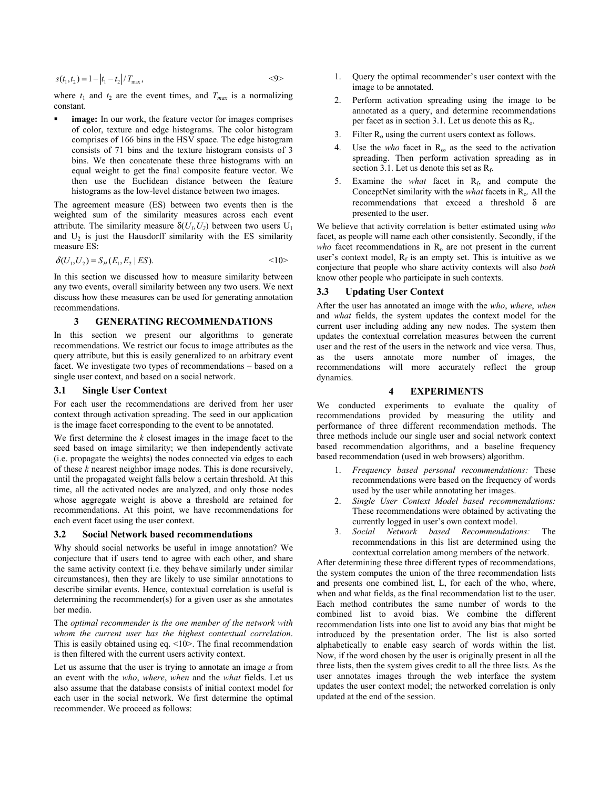$$
s(t_1, t_2) = 1 - |t_1 - t_2| / T_{\text{max}},
$$
  $\langle 9 \rangle$ 

where  $t_1$  and  $t_2$  are the event times, and  $T_{max}$  is a normalizing constant.

 **image:** In our work, the feature vector for images comprises of color, texture and edge histograms. The color histogram comprises of 166 bins in the HSV space. The edge histogram consists of 71 bins and the texture histogram consists of 3 bins. We then concatenate these three histograms with an equal weight to get the final composite feature vector. We then use the Euclidean distance between the feature histograms as the low-level distance between two images.

The agreement measure (ES) between two events then is the weighted sum of the similarity measures across each event attribute. The similarity measure  $\delta(U_1, U_2)$  between two users U<sub>1</sub> and  $U_2$  is just the Hausdorff similarity with the ES similarity measure ES:

$$
\delta(U_1, U_2) = S_H(E_1, E_2 | ES).
$$
  $\langle 10 \rangle$ 

In this section we discussed how to measure similarity between any two events, overall similarity between any two users. We next discuss how these measures can be used for generating annotation recommendations.

## **3 GENERATING RECOMMENDATIONS**

In this section we present our algorithms to generate recommendations. We restrict our focus to image attributes as the query attribute, but this is easily generalized to an arbitrary event facet. We investigate two types of recommendations – based on a single user context, and based on a social network.

#### **3.1 Single User Context**

For each user the recommendations are derived from her user context through activation spreading. The seed in our application is the image facet corresponding to the event to be annotated.

We first determine the *k* closest images in the image facet to the seed based on image similarity; we then independently activate (i.e. propagate the weights) the nodes connected via edges to each of these *k* nearest neighbor image nodes. This is done recursively, until the propagated weight falls below a certain threshold. At this time, all the activated nodes are analyzed, and only those nodes whose aggregate weight is above a threshold are retained for recommendations. At this point, we have recommendations for each event facet using the user context.

#### **3.2 Social Network based recommendations**

Why should social networks be useful in image annotation? We conjecture that if users tend to agree with each other, and share the same activity context (i.e. they behave similarly under similar circumstances), then they are likely to use similar annotations to describe similar events. Hence, contextual correlation is useful is determining the recommender(s) for a given user as she annotates her media.

The *optimal recommender is the one member of the network with whom the current user has the highest contextual correlation*. This is easily obtained using eq. <10>. The final recommendation is then filtered with the current users activity context.

Let us assume that the user is trying to annotate an image *a* from an event with the *who*, *where*, *when* and the *what* fields. Let us also assume that the database consists of initial context model for each user in the social network. We first determine the optimal recommender. We proceed as follows:

- 1. Query the optimal recommender's user context with the image to be annotated.
- 2. Perform activation spreading using the image to be annotated as a query, and determine recommendations per facet as in section 3.1. Let us denote this as  $R_0$ .
- 3. Filter R<sub>o</sub> using the current users context as follows.
- 4. Use the *who* facet in  $R_0$ , as the seed to the activation spreading. Then perform activation spreading as in section 3.1. Let us denote this set as  $R_f$ .
- 5. Examine the *what* facet in Rf, and compute the ConceptNet similarity with the *what* facets in R<sub>o</sub>. All the recommendations that exceed a threshold δ are presented to the user.

We believe that activity correlation is better estimated using *who*  facet, as people will name each other consistently. Secondly, if the *who* facet recommendations in  $R_0$  are not present in the current user's context model,  $R_f$  is an empty set. This is intuitive as we conjecture that people who share activity contexts will also *both* know other people who participate in such contexts.

## **3.3 Updating User Context**

After the user has annotated an image with the *who*, *where*, *when* and *what* fields, the system updates the context model for the current user including adding any new nodes. The system then updates the contextual correlation measures between the current user and the rest of the users in the network and vice versa. Thus, as the users annotate more number of images, the recommendations will more accurately reflect the group dynamics.

# **4 EXPERIMENTS**

We conducted experiments to evaluate the quality of recommendations provided by measuring the utility and performance of three different recommendation methods. The three methods include our single user and social network context based recommendation algorithms, and a baseline frequency based recommendation (used in web browsers) algorithm.

- 1. *Frequency based personal recommendations:* These recommendations were based on the frequency of words used by the user while annotating her images.
- 2. *Single User Context Model based recommendations:* These recommendations were obtained by activating the currently logged in user's own context model.
- 3. *Social Network based Recommendations:* The recommendations in this list are determined using the contextual correlation among members of the network.

After determining these three different types of recommendations, the system computes the union of the three recommendation lists and presents one combined list, L, for each of the who, where, when and what fields, as the final recommendation list to the user. Each method contributes the same number of words to the combined list to avoid bias. We combine the different recommendation lists into one list to avoid any bias that might be introduced by the presentation order. The list is also sorted alphabetically to enable easy search of words within the list. Now, if the word chosen by the user is originally present in all the three lists, then the system gives credit to all the three lists. As the user annotates images through the web interface the system updates the user context model; the networked correlation is only updated at the end of the session.